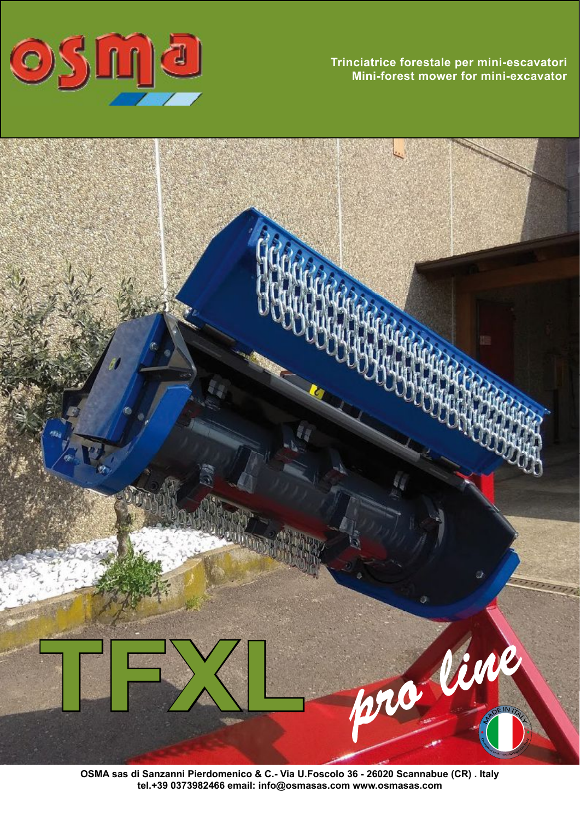

**Trinciatrice forestale per mini-escavatori Mini-forest mower for mini-excavator** 



**OSMA sas di Sanzanni Pierdomenico & C.- Via U.Foscolo 36 - 26020 Scannabue (CR) . Italy tel.+39 0373982466 email: info@osmasas.com www.osmasas.com**